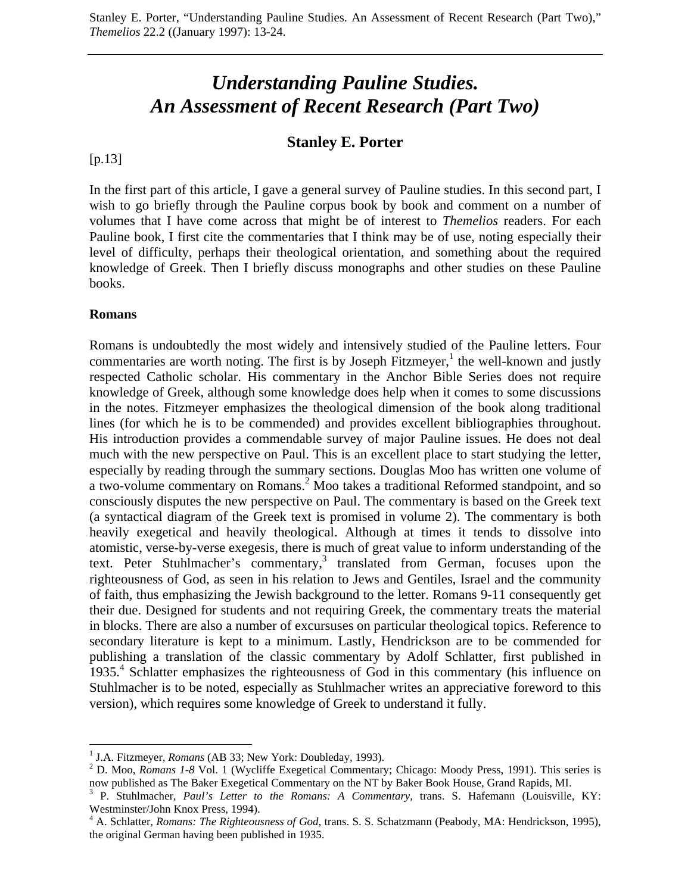# *Understanding Pauline Studies. An Assessment of Recent Research (Part Two)*

## **Stanley E. Porter**

[p.13]

In the first part of this article, I gave a general survey of Pauline studies. In this second part, I wish to go briefly through the Pauline corpus book by book and comment on a number of volumes that I have come across that might be of interest to *Themelios* readers. For each Pauline book, I first cite the commentaries that I think may be of use, noting especially their level of difficulty, perhaps their theological orientation, and something about the required knowledge of Greek. Then I briefly discuss monographs and other studies on these Pauline books.

#### **Romans**

 $\overline{a}$ 

Romans is undoubtedly the most widely and intensively studied of the Pauline letters. Four commentaries are worth noting. The first is by Joseph Fitzmeyer,<sup>1</sup> the well-known and justly respected Catholic scholar. His commentary in the Anchor Bible Series does not require knowledge of Greek, although some knowledge does help when it comes to some discussions in the notes. Fitzmeyer emphasizes the theological dimension of the book along traditional lines (for which he is to be commended) and provides excellent bibliographies throughout. His introduction provides a commendable survey of major Pauline issues. He does not deal much with the new perspective on Paul. This is an excellent place to start studying the letter, especially by reading through the summary sections. Douglas Moo has written one volume of a two-volume commentary on Romans.<sup>2</sup> Moo takes a traditional Reformed standpoint, and so consciously disputes the new perspective on Paul. The commentary is based on the Greek text (a syntactical diagram of the Greek text is promised in volume 2). The commentary is both heavily exegetical and heavily theological. Although at times it tends to dissolve into atomistic, verse-by-verse exegesis, there is much of great value to inform understanding of the text. Peter Stuhlmacher's commentary,<sup>3</sup> translated from German, focuses upon the righteousness of God, as seen in his relation to Jews and Gentiles, Israel and the community of faith, thus emphasizing the Jewish background to the letter. Romans 9-11 consequently get their due. Designed for students and not requiring Greek, the commentary treats the material in blocks. There are also a number of excursuses on particular theological topics. Reference to secondary literature is kept to a minimum. Lastly, Hendrickson are to be commended for publishing a translation of the classic commentary by Adolf Schlatter, first published in 1935.<sup>4</sup> Schlatter emphasizes the righteousness of God in this commentary (his influence on Stuhlmacher is to be noted, especially as Stuhlmacher writes an appreciative foreword to this version), which requires some knowledge of Greek to understand it fully.

<sup>&</sup>lt;sup>1</sup> J.A. Fitzmeyer, *Romans* (AB 33; New York: Doubleday, 1993).

<sup>&</sup>lt;sup>2</sup> D. Moo, *Romans 1-8* Vol. 1 (Wycliffe Exegetical Commentary; Chicago: Moody Press, 1991). This series is now published as The Baker Exegetical Commentary on the NT by Baker Book House, Grand Rapids, MI.

<sup>&</sup>lt;sup>3</sup> P. Stuhlmacher, *Paul's Letter to the Romans: A Commentary*, trans. S. Hafemann (Louisville, KY: Westminster/John Knox Press, 1994).

<sup>&</sup>lt;sup>4</sup> A. Schlatter, *Romans: The Righteousness of God*, trans. S. S. Schatzmann (Peabody, MA: Hendrickson, 1995), the original German having been published in 1935.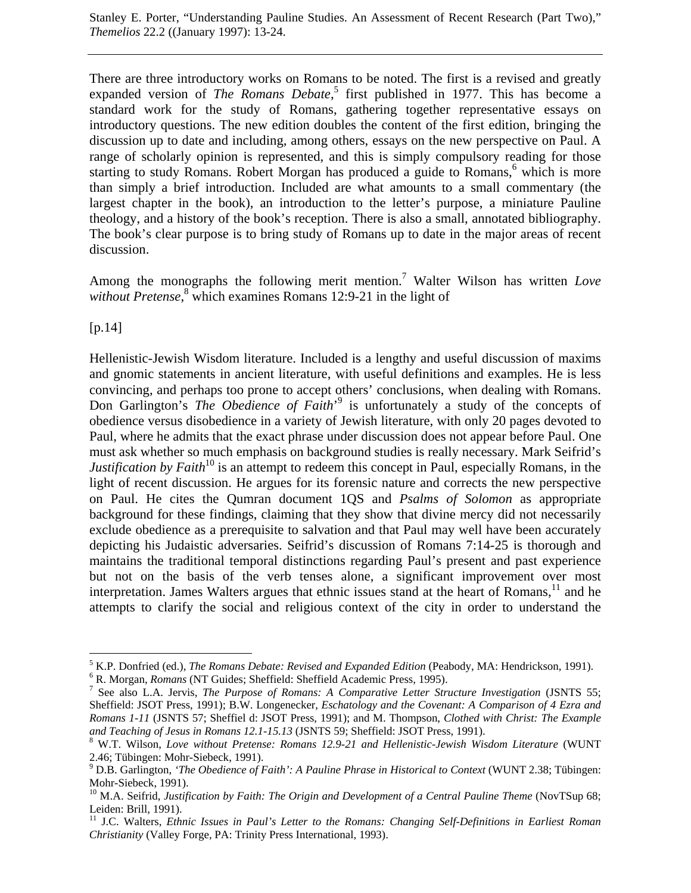There are three introductory works on Romans to be noted. The first is a revised and greatly expanded version of *The Romans Debate*,<sup>5</sup> first published in 1977. This has become a standard work for the study of Romans, gathering together representative essays on introductory questions. The new edition doubles the content of the first edition, bringing the discussion up to date and including, among others, essays on the new perspective on Paul. A range of scholarly opinion is represented, and this is simply compulsory reading for those starting to study Romans. Robert Morgan has produced a guide to Romans,<sup>6</sup> which is more than simply a brief introduction. Included are what amounts to a small commentary (the largest chapter in the book), an introduction to the letter's purpose, a miniature Pauline theology, and a history of the book's reception. There is also a small, annotated bibliography. The book's clear purpose is to bring study of Romans up to date in the major areas of recent discussion.

Among the monographs the following merit mention.7 Walter Wilson has written *Love* without Pretense,<sup>8</sup> which examines Romans 12:9-21 in the light of

 $[p.14]$ 

Hellenistic-Jewish Wisdom literature. Included is a lengthy and useful discussion of maxims and gnomic statements in ancient literature, with useful definitions and examples. He is less convincing, and perhaps too prone to accept others' conclusions, when dealing with Romans. Don Garlington's *The Obedience of Faith*<sup>9</sup> is unfortunately a study of the concepts of obedience versus disobedience in a variety of Jewish literature, with only 20 pages devoted to Paul, where he admits that the exact phrase under discussion does not appear before Paul. One must ask whether so much emphasis on background studies is really necessary. Mark Seifrid's *Justification by Faith*<sup>10</sup> is an attempt to redeem this concept in Paul, especially Romans, in the light of recent discussion. He argues for its forensic nature and corrects the new perspective on Paul. He cites the Qumran document 1QS and *Psalms of Solomon* as appropriate background for these findings, claiming that they show that divine mercy did not necessarily exclude obedience as a prerequisite to salvation and that Paul may well have been accurately depicting his Judaistic adversaries. Seifrid's discussion of Romans 7:14-25 is thorough and maintains the traditional temporal distinctions regarding Paul's present and past experience but not on the basis of the verb tenses alone, a significant improvement over most interpretation. James Walters argues that ethnic issues stand at the heart of Romans, $11$  and he attempts to clarify the social and religious context of the city in order to understand the

 $\overline{a}$ <sup>5</sup> K.P. Donfried (ed.), *The Romans Debate: Revised and Expanded Edition* (Peabody, MA: Hendrickson, 1991).

<sup>&</sup>lt;sup>6</sup> R. Morgan, *Romans* (NT Guides; Sheffield: Sheffield Academic Press, 1995).

<sup>&</sup>lt;sup>7</sup> See also L.A. Jervis, *The Purpose of Romans: A Comparative Letter Structure Investigation* (JSNTS 55; Sheffield: JSOT Press, 1991); B.W. Longenecker, *Eschatology and the Covenant: A Comparison of 4 Ezra and Romans 1-11* (JSNTS 57; Sheffiel d: JSOT Press, 1991); and M. Thompson, *Clothed with Christ: The Example* and Teaching of Jesus in Romans 12.1-15.13 (JSNTS 59; Sheffield: JSOT Press, 1991).

W.T. Wilson, *Love without Pretense: Romans 12.9-21 and Hellenistic-Jewish Wisdom Literature* (WUNT 2.46; Tübingen: Mohr-Siebeck, 1991).

<sup>9</sup> D.B. Garlington, *'The Obedience of Faith': A Pauline Phrase in Historical to Context* (WUNT 2.38; Tübingen: Mohr-Siebeck, 1991).

<sup>&</sup>lt;sup>10</sup> M.A. Seifrid, *Justification by Faith: The Origin and Development of a Central Pauline Theme* (NovTSup 68; Leiden: Brill, 1991).

<sup>&</sup>lt;sup>11</sup> J.C. Walters, *Ethnic Issues in Paul's Letter to the Romans: Changing Self-Definitions in Earliest Roman Christianity* (Valley Forge, PA: Trinity Press International, 1993).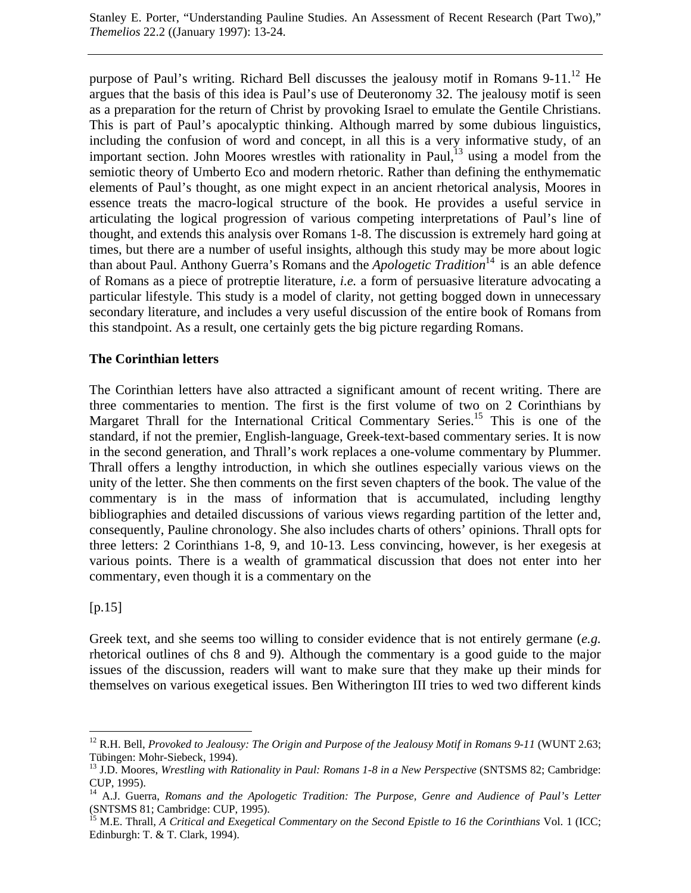purpose of Paul's writing. Richard Bell discusses the jealousy motif in Romans  $9-11$ .<sup>12</sup> He argues that the basis of this idea is Paul's use of Deuteronomy 32. The jealousy motif is seen as a preparation for the return of Christ by provoking Israel to emulate the Gentile Christians. This is part of Paul's apocalyptic thinking. Although marred by some dubious linguistics, including the confusion of word and concept, in all this is a very informative study, of an important section. John Moores wrestles with rationality in Paul, $^{13}$  using a model from the semiotic theory of Umberto Eco and modern rhetoric. Rather than defining the enthymematic elements of Paul's thought, as one might expect in an ancient rhetorical analysis, Moores in essence treats the macro-logical structure of the book. He provides a useful service in articulating the logical progression of various competing interpretations of Paul's line of thought, and extends this analysis over Romans 1-8. The discussion is extremely hard going at times, but there are a number of useful insights, although this study may be more about logic than about Paul. Anthony Guerra's Romans and the *Apologetic Tradition*<sup>14</sup> is an able defence of Romans as a piece of protreptie literature, *i.e.* a form of persuasive literature advocating a particular lifestyle. This study is a model of clarity, not getting bogged down in unnecessary secondary literature, and includes a very useful discussion of the entire book of Romans from this standpoint. As a result, one certainly gets the big picture regarding Romans.

### **The Corinthian letters**

The Corinthian letters have also attracted a significant amount of recent writing. There are three commentaries to mention. The first is the first volume of two on 2 Corinthians by Margaret Thrall for the International Critical Commentary Series.<sup>15</sup> This is one of the standard, if not the premier, English-language, Greek-text-based commentary series. It is now in the second generation, and Thrall's work replaces a one-volume commentary by Plummer. Thrall offers a lengthy introduction, in which she outlines especially various views on the unity of the letter. She then comments on the first seven chapters of the book. The value of the commentary is in the mass of information that is accumulated, including lengthy bibliographies and detailed discussions of various views regarding partition of the letter and, consequently, Pauline chronology. She also includes charts of others' opinions. Thrall opts for three letters: 2 Corinthians 1-8, 9, and 10-13. Less convincing, however, is her exegesis at various points. There is a wealth of grammatical discussion that does not enter into her commentary, even though it is a commentary on the

#### [p.15]

 $\overline{a}$ 

Greek text, and she seems too willing to consider evidence that is not entirely germane (*e.g.* rhetorical outlines of chs 8 and 9). Although the commentary is a good guide to the major issues of the discussion, readers will want to make sure that they make up their minds for themselves on various exegetical issues. Ben Witherington III tries to wed two different kinds

<sup>&</sup>lt;sup>12</sup> R.H. Bell, *Provoked to Jealousy: The Origin and Purpose of the Jealousy Motif in Romans 9-11* (WUNT 2.63; Tübingen: Mohr-Siebeck, 1994).

<sup>&</sup>lt;sup>13</sup> J.D. Moores, *Wrestling with Rationality in Paul: Romans 1-8 in a New Perspective* (SNTSMS 82; Cambridge: CUP, 1995).

<sup>&</sup>lt;sup>14</sup> A.J. Guerra, *Romans and the Apologetic Tradition: The Purpose, Genre and Audience of Paul's Letter* (SNTSMS 81; Cambridge: CUP, 1995).

<sup>&</sup>lt;sup>15</sup> M.E. Thrall, *A Critical and Exegetical Commentary on the Second Epistle to 16 the Corinthians Vol. 1 (ICC;* Edinburgh: T. & T. Clark, 1994).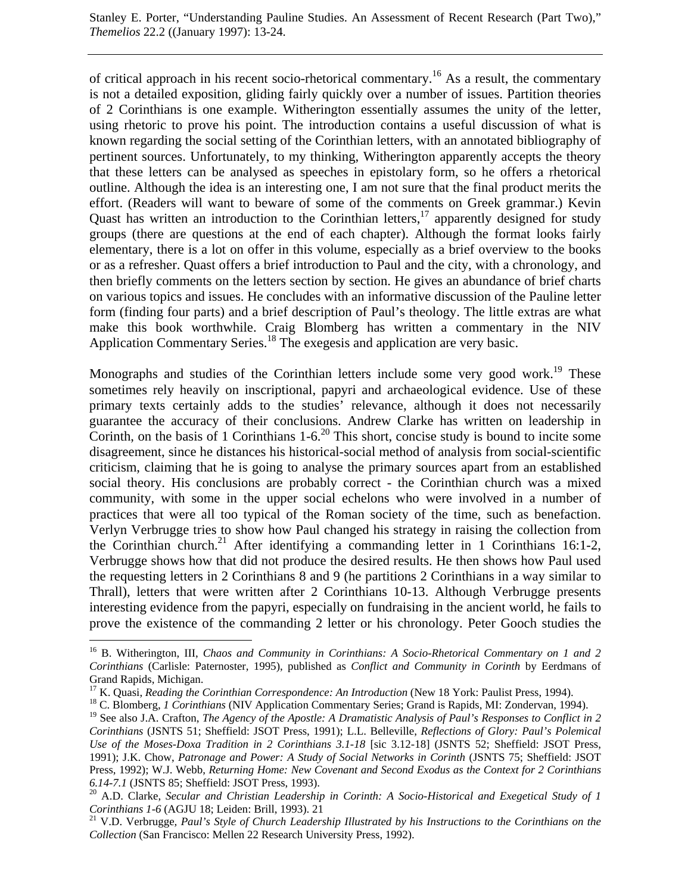of critical approach in his recent socio-rhetorical commentary.<sup>16</sup> As a result, the commentary is not a detailed exposition, gliding fairly quickly over a number of issues. Partition theories of 2 Corinthians is one example. Witherington essentially assumes the unity of the letter, using rhetoric to prove his point. The introduction contains a useful discussion of what is known regarding the social setting of the Corinthian letters, with an annotated bibliography of pertinent sources. Unfortunately, to my thinking, Witherington apparently accepts the theory that these letters can be analysed as speeches in epistolary form, so he offers a rhetorical outline. Although the idea is an interesting one, I am not sure that the final product merits the effort. (Readers will want to beware of some of the comments on Greek grammar.) Kevin Quast has written an introduction to the Corinthian letters,<sup>17</sup> apparently designed for study groups (there are questions at the end of each chapter). Although the format looks fairly elementary, there is a lot on offer in this volume, especially as a brief overview to the books or as a refresher. Quast offers a brief introduction to Paul and the city, with a chronology, and then briefly comments on the letters section by section. He gives an abundance of brief charts on various topics and issues. He concludes with an informative discussion of the Pauline letter form (finding four parts) and a brief description of Paul's theology. The little extras are what make this book worthwhile. Craig Blomberg has written a commentary in the NIV Application Commentary Series.<sup>18</sup> The exegesis and application are very basic.

Monographs and studies of the Corinthian letters include some very good work.<sup>19</sup> These sometimes rely heavily on inscriptional, papyri and archaeological evidence. Use of these primary texts certainly adds to the studies' relevance, although it does not necessarily guarantee the accuracy of their conclusions. Andrew Clarke has written on leadership in Corinth, on the basis of 1 Corinthians  $1-6<sup>20</sup>$  This short, concise study is bound to incite some disagreement, since he distances his historical-social method of analysis from social-scientific criticism, claiming that he is going to analyse the primary sources apart from an established social theory. His conclusions are probably correct - the Corinthian church was a mixed community, with some in the upper social echelons who were involved in a number of practices that were all too typical of the Roman society of the time, such as benefaction. Verlyn Verbrugge tries to show how Paul changed his strategy in raising the collection from the Corinthian church.<sup>21</sup> After identifying a commanding letter in 1 Corinthians 16:1-2, Verbrugge shows how that did not produce the desired results. He then shows how Paul used the requesting letters in 2 Corinthians 8 and 9 (he partitions 2 Corinthians in a way similar to Thrall), letters that were written after 2 Corinthians 10-13. Although Verbrugge presents interesting evidence from the papyri, especially on fundraising in the ancient world, he fails to prove the existence of the commanding 2 letter or his chronology. Peter Gooch studies the

 $\overline{a}$ 

<sup>16</sup> B. Witherington, III, *Chaos and Community in Corinthians: A Socio-Rhetorical Commentary on 1 and 2 Corinthians* (Carlisle: Paternoster, 1995), published as *Conflict and Community in Corinth* by Eerdmans of Grand Rapids, Michigan.

<sup>&</sup>lt;sup>17</sup> K. Quasi, *Reading the Corinthian Correspondence: An Introduction* (New 18 York: Paulist Press, 1994).<br><sup>18</sup> C. Blomberg, *1 Corinthians* (NIV Application Commentary Series; Grand is Rapids, MI: Zondervan, 1994).

<sup>&</sup>lt;sup>19</sup> See also J.A. Crafton, *The Agency of the Apostle: A Dramatistic Analysis of Paul's Responses to Conflict in 2 Corinthians* (JSNTS 51; Sheffield: JSOT Press, 1991); L.L. Belleville, *Reflections of Glory: Paul's Polemical Use of the Moses-Doxa Tradition in 2 Corinthians 3.1-18* [sic 3.12-18] (JSNTS 52; Sheffield: JSOT Press, 1991); J.K. Chow, *Patronage and Power: A Study of Social Networks in Corinth* (JSNTS 75; Sheffield: JSOT Press, 1992); W.J. Webb, *Returning Home: New Covenant and Second Exodus as the Context for 2 Corinthians 6.14-7.1* (JSNTS 85; Sheffield: JSOT Press, 1993).<br><sup>20</sup> A.D. Clarke, *Secular and Christian Leadership in Corinth: A Socio-Historical and Exegetical Study of 1* 

*Corinthians 1-6* (AGJU 18; Leiden: Brill, 1993). 21 *21* 21 *V.D. Verbrugge, Paul's Style of Church Leadership Illustrated by his Instructions to the Corinthians on the* 

*Collection* (San Francisco: Mellen 22 Research University Press, 1992).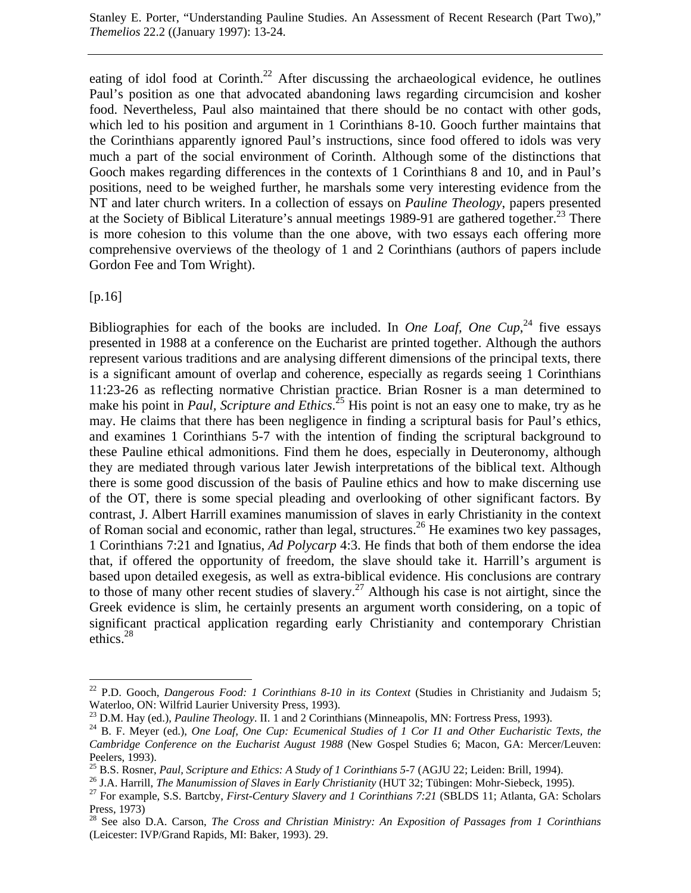eating of idol food at Corinth.<sup>22</sup> After discussing the archaeological evidence, he outlines Paul's position as one that advocated abandoning laws regarding circumcision and kosher food. Nevertheless, Paul also maintained that there should be no contact with other gods, which led to his position and argument in 1 Corinthians 8-10. Gooch further maintains that the Corinthians apparently ignored Paul's instructions, since food offered to idols was very much a part of the social environment of Corinth. Although some of the distinctions that Gooch makes regarding differences in the contexts of 1 Corinthians 8 and 10, and in Paul's positions, need to be weighed further, he marshals some very interesting evidence from the NT and later church writers. In a collection of essays on *Pauline Theology*, papers presented at the Society of Biblical Literature's annual meetings 1989-91 are gathered together.<sup>23</sup> There is more cohesion to this volume than the one above, with two essays each offering more comprehensive overviews of the theology of 1 and 2 Corinthians (authors of papers include Gordon Fee and Tom Wright).

[p.16]

 $\overline{a}$ 

Bibliographies for each of the books are included. In *One Loaf, One Cup*<sup>24</sup>, five essays presented in 1988 at a conference on the Eucharist are printed together. Although the authors represent various traditions and are analysing different dimensions of the principal texts, there is a significant amount of overlap and coherence, especially as regards seeing 1 Corinthians 11:23-26 as reflecting normative Christian practice. Brian Rosner is a man determined to make his point in *Paul, Scripture and Ethics*. 25 His point is not an easy one to make, try as he may. He claims that there has been negligence in finding a scriptural basis for Paul's ethics, and examines 1 Corinthians 5-7 with the intention of finding the scriptural background to these Pauline ethical admonitions. Find them he does, especially in Deuteronomy, although they are mediated through various later Jewish interpretations of the biblical text. Although there is some good discussion of the basis of Pauline ethics and how to make discerning use of the OT, there is some special pleading and overlooking of other significant factors. By contrast, J. Albert Harrill examines manumission of slaves in early Christianity in the context of Roman social and economic, rather than legal, structures.<sup>26</sup> He examines two key passages, 1 Corinthians 7:21 and Ignatius, *Ad Polycarp* 4:3. He finds that both of them endorse the idea that, if offered the opportunity of freedom, the slave should take it. Harrill's argument is based upon detailed exegesis, as well as extra-biblical evidence. His conclusions are contrary to those of many other recent studies of slavery.<sup>27</sup> Although his case is not airtight, since the Greek evidence is slim, he certainly presents an argument worth considering, on a topic of significant practical application regarding early Christianity and contemporary Christian ethics.28

<sup>&</sup>lt;sup>22</sup> P.D. Gooch, *Dangerous Food: 1 Corinthians 8-10 in its Context* (Studies in Christianity and Judaism 5; Waterloo, ON: Wilfrid Laurier University Press, 1993).<br><sup>23</sup> D.M. Hay (ed.), *Pauline Theology*. II. 1 and 2 Corinthians (Minneapolis, MN: Fortress Press, 1993).

<sup>&</sup>lt;sup>24</sup> B. F. Meyer (ed.), *One Loaf, One Cup: Ecumenical Studies of 1 Cor I1 and Other Eucharistic Texts, the Cambridge Conference on the Eucharist August 1988* (New Gospel Studies 6; Macon, GA: Mercer/Leuven: Peelers, 1993).<br><sup>25</sup> B.S. Rosner, *Paul, Scripture and Ethics: A Study of 1 Corinthians 5-7 (AGJU 22; Leiden: Brill, 1994).* 

<sup>&</sup>lt;sup>26</sup> J.A. Harrill, *The Manumission of Slaves in Early Christianity* (HUT 32; Tübingen: Mohr-Siebeck, 1995).<br><sup>27</sup> For example, S.S. Bartcby, *First-Century Slavery and 1 Corinthians 7:21* (SBLDS 11; Atlanta, GA: Scholars

Press, 1973)

<sup>28</sup> See also D.A. Carson, *The Cross and Christian Ministry: An Exposition of Passages from 1 Corinthians* (Leicester: IVP/Grand Rapids, MI: Baker, 1993). 29.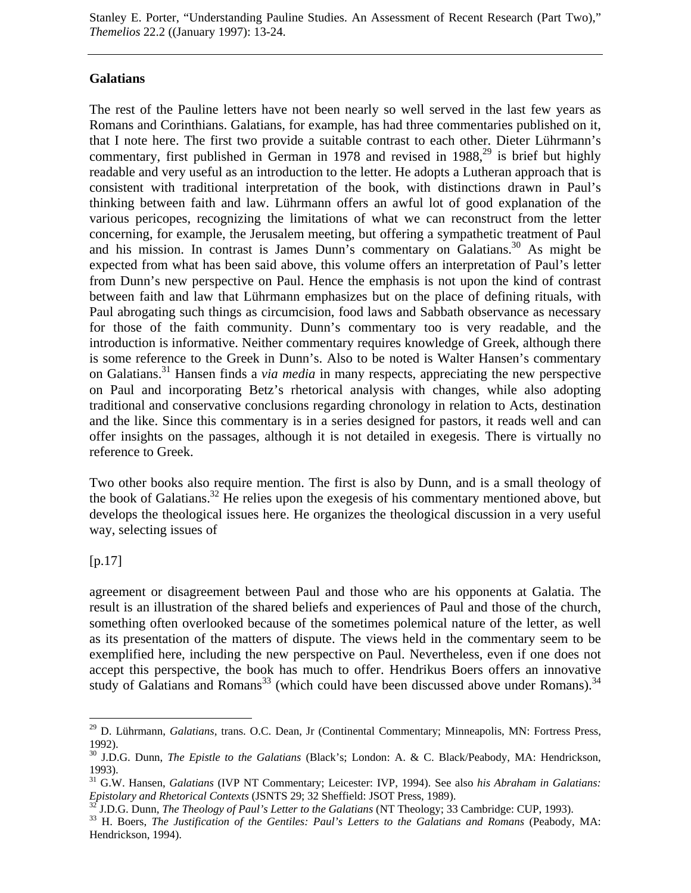## **Galatians**

The rest of the Pauline letters have not been nearly so well served in the last few years as Romans and Corinthians. Galatians, for example, has had three commentaries published on it, that I note here. The first two provide a suitable contrast to each other. Dieter Lührmann's commentary, first published in German in 1978 and revised in  $1988$ ,<sup>29</sup> is brief but highly readable and very useful as an introduction to the letter. He adopts a Lutheran approach that is consistent with traditional interpretation of the book, with distinctions drawn in Paul's thinking between faith and law. Lührmann offers an awful lot of good explanation of the various pericopes, recognizing the limitations of what we can reconstruct from the letter concerning, for example, the Jerusalem meeting, but offering a sympathetic treatment of Paul and his mission. In contrast is James Dunn's commentary on Galatians.<sup>30</sup> As might be expected from what has been said above, this volume offers an interpretation of Paul's letter from Dunn's new perspective on Paul. Hence the emphasis is not upon the kind of contrast between faith and law that Lührmann emphasizes but on the place of defining rituals, with Paul abrogating such things as circumcision, food laws and Sabbath observance as necessary for those of the faith community. Dunn's commentary too is very readable, and the introduction is informative. Neither commentary requires knowledge of Greek, although there is some reference to the Greek in Dunn's. Also to be noted is Walter Hansen's commentary on Galatians.31 Hansen finds a *via media* in many respects, appreciating the new perspective on Paul and incorporating Betz's rhetorical analysis with changes, while also adopting traditional and conservative conclusions regarding chronology in relation to Acts, destination and the like. Since this commentary is in a series designed for pastors, it reads well and can offer insights on the passages, although it is not detailed in exegesis. There is virtually no reference to Greek.

Two other books also require mention. The first is also by Dunn, and is a small theology of the book of Galatians.<sup>32</sup> He relies upon the exegesis of his commentary mentioned above, but develops the theological issues here. He organizes the theological discussion in a very useful way, selecting issues of

 $[p.17]$ 

 $\overline{a}$ 

agreement or disagreement between Paul and those who are his opponents at Galatia. The result is an illustration of the shared beliefs and experiences of Paul and those of the church, something often overlooked because of the sometimes polemical nature of the letter, as well as its presentation of the matters of dispute. The views held in the commentary seem to be exemplified here, including the new perspective on Paul. Nevertheless, even if one does not accept this perspective, the book has much to offer. Hendrikus Boers offers an innovative study of Galatians and Romans<sup>33</sup> (which could have been discussed above under Romans).<sup>34</sup>

<sup>29</sup> D. Lührmann, *Galatians*, trans. O.C. Dean, Jr (Continental Commentary; Minneapolis, MN: Fortress Press, 1992).

<sup>30</sup> J.D.G. Dunn, *The Epistle to the Galatians* (Black's; London: A. & C. Black/Peabody, MA: Hendrickson, 1993).

<sup>&</sup>lt;sup>31</sup> G.W. Hansen, *Galatians* (IVP NT Commentary; Leicester: IVP, 1994). See also *his Abraham in Galatians: Epistolary and Rhetorical Contexts* (JSNTS 29; 32 Sheffield: JSOT Press, 1989).

<sup>&</sup>lt;sup>32</sup> J.D.G. Dunn, *The Theology of Paul's Letter to the Galatians* (NT Theology; 33 Cambridge: CUP, 1993).<br><sup>33</sup> H. Boers, *The Justification of the Gentiles: Paul's Letters to the Galatians and Romans* (Peabody, MA: Hendrickson, 1994).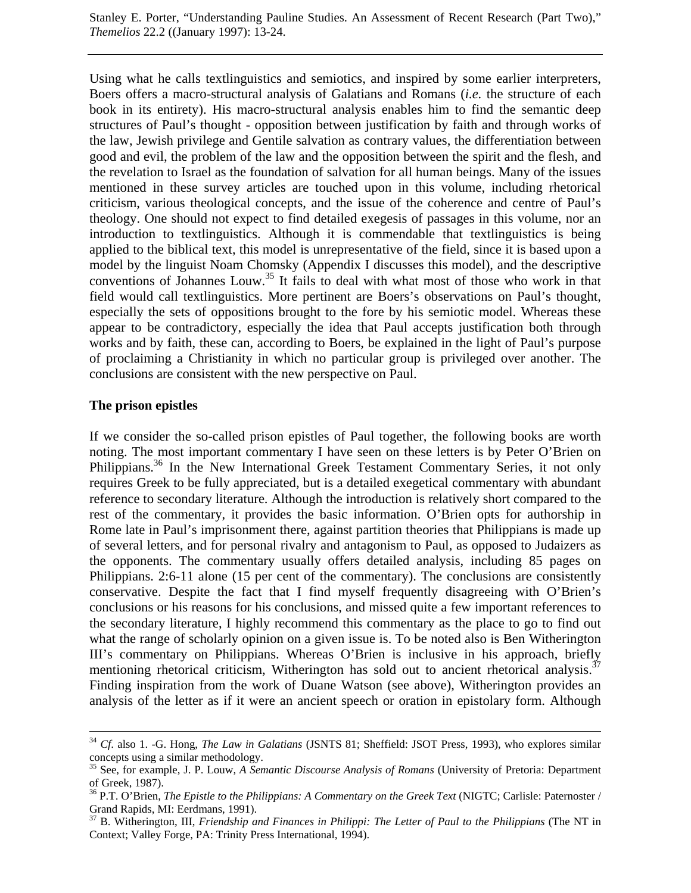Using what he calls textlinguistics and semiotics, and inspired by some earlier interpreters, Boers offers a macro-structural analysis of Galatians and Romans (*i.e.* the structure of each book in its entirety). His macro-structural analysis enables him to find the semantic deep structures of Paul's thought - opposition between justification by faith and through works of the law, Jewish privilege and Gentile salvation as contrary values, the differentiation between good and evil, the problem of the law and the opposition between the spirit and the flesh, and the revelation to Israel as the foundation of salvation for all human beings. Many of the issues mentioned in these survey articles are touched upon in this volume, including rhetorical criticism, various theological concepts, and the issue of the coherence and centre of Paul's theology. One should not expect to find detailed exegesis of passages in this volume, nor an introduction to textlinguistics. Although it is commendable that textlinguistics is being applied to the biblical text, this model is unrepresentative of the field, since it is based upon a model by the linguist Noam Chomsky (Appendix I discusses this model), and the descriptive conventions of Johannes Louw.<sup>35</sup> It fails to deal with what most of those who work in that field would call textlinguistics. More pertinent are Boers's observations on Paul's thought, especially the sets of oppositions brought to the fore by his semiotic model. Whereas these appear to be contradictory, especially the idea that Paul accepts justification both through works and by faith, these can, according to Boers, be explained in the light of Paul's purpose of proclaiming a Christianity in which no particular group is privileged over another. The conclusions are consistent with the new perspective on Paul.

#### **The prison epistles**

If we consider the so-called prison epistles of Paul together, the following books are worth noting. The most important commentary I have seen on these letters is by Peter O'Brien on Philippians.<sup>36</sup> In the New International Greek Testament Commentary Series, it not only requires Greek to be fully appreciated, but is a detailed exegetical commentary with abundant reference to secondary literature. Although the introduction is relatively short compared to the rest of the commentary, it provides the basic information. O'Brien opts for authorship in Rome late in Paul's imprisonment there, against partition theories that Philippians is made up of several letters, and for personal rivalry and antagonism to Paul, as opposed to Judaizers as the opponents. The commentary usually offers detailed analysis, including 85 pages on Philippians. 2:6-11 alone (15 per cent of the commentary). The conclusions are consistently conservative. Despite the fact that I find myself frequently disagreeing with O'Brien's conclusions or his reasons for his conclusions, and missed quite a few important references to the secondary literature, I highly recommend this commentary as the place to go to find out what the range of scholarly opinion on a given issue is. To be noted also is Ben Witherington III's commentary on Philippians. Whereas O'Brien is inclusive in his approach, briefly mentioning rhetorical criticism, Witherington has sold out to ancient rhetorical analysis.<sup>37</sup> Finding inspiration from the work of Duane Watson (see above), Witherington provides an analysis of the letter as if it were an ancient speech or oration in epistolary form. Although

 <sup>34</sup> *Cf*. also 1. -G. Hong, *The Law in Galatians* (JSNTS 81; Sheffield: JSOT Press, 1993), who explores similar concepts using a similar methodology.

<sup>35</sup> See, for example, J. P. Louw, *A Semantic Discourse Analysis of Romans* (University of Pretoria: Department of Greek, 1987).

<sup>36</sup> P.T. O'Brien, *The Epistle to the Philippians: A Commentary on the Greek Text* (NIGTC; Carlisle: Paternoster / Grand Rapids, MI: Eerdmans, 1991).

<sup>37</sup> B. Witherington, III, *Friendship and Finances in Philippi: The Letter of Paul to the Philippians* (The NT in Context; Valley Forge, PA: Trinity Press International, 1994).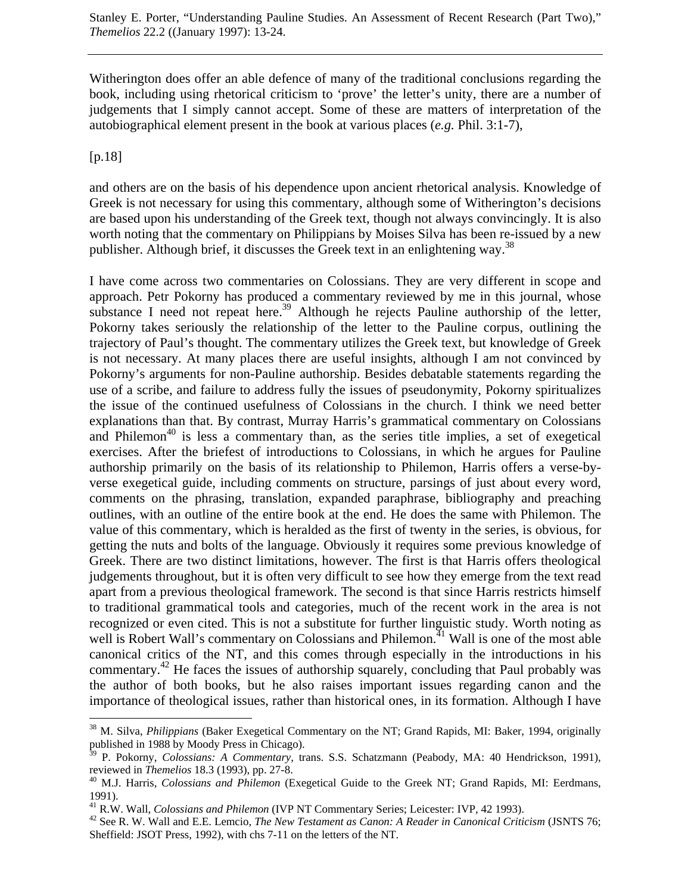Witherington does offer an able defence of many of the traditional conclusions regarding the book, including using rhetorical criticism to 'prove' the letter's unity, there are a number of judgements that I simply cannot accept. Some of these are matters of interpretation of the autobiographical element present in the book at various places (*e.g.* Phil. 3:1-7),

[p.18]

 $\overline{a}$ 

and others are on the basis of his dependence upon ancient rhetorical analysis. Knowledge of Greek is not necessary for using this commentary, although some of Witherington's decisions are based upon his understanding of the Greek text, though not always convincingly. It is also worth noting that the commentary on Philippians by Moises Silva has been re-issued by a new publisher. Although brief, it discusses the Greek text in an enlightening way.<sup>38</sup>

I have come across two commentaries on Colossians. They are very different in scope and approach. Petr Pokorny has produced a commentary reviewed by me in this journal, whose substance I need not repeat here.<sup>39</sup> Although he rejects Pauline authorship of the letter, Pokorny takes seriously the relationship of the letter to the Pauline corpus, outlining the trajectory of Paul's thought. The commentary utilizes the Greek text, but knowledge of Greek is not necessary. At many places there are useful insights, although I am not convinced by Pokorny's arguments for non-Pauline authorship. Besides debatable statements regarding the use of a scribe, and failure to address fully the issues of pseudonymity, Pokorny spiritualizes the issue of the continued usefulness of Colossians in the church. I think we need better explanations than that. By contrast, Murray Harris's grammatical commentary on Colossians and Philemon<sup>40</sup> is less a commentary than, as the series title implies, a set of exegetical exercises. After the briefest of introductions to Colossians, in which he argues for Pauline authorship primarily on the basis of its relationship to Philemon, Harris offers a verse-byverse exegetical guide, including comments on structure, parsings of just about every word, comments on the phrasing, translation, expanded paraphrase, bibliography and preaching outlines, with an outline of the entire book at the end. He does the same with Philemon. The value of this commentary, which is heralded as the first of twenty in the series, is obvious, for getting the nuts and bolts of the language. Obviously it requires some previous knowledge of Greek. There are two distinct limitations, however. The first is that Harris offers theological judgements throughout, but it is often very difficult to see how they emerge from the text read apart from a previous theological framework. The second is that since Harris restricts himself to traditional grammatical tools and categories, much of the recent work in the area is not recognized or even cited. This is not a substitute for further linguistic study. Worth noting as well is Robert Wall's commentary on Colossians and Philemon.<sup>41</sup> Wall is one of the most able canonical critics of the NT, and this comes through especially in the introductions in his commentary.<sup>42</sup> He faces the issues of authorship squarely, concluding that Paul probably was the author of both books, but he also raises important issues regarding canon and the importance of theological issues, rather than historical ones, in its formation. Although I have

<sup>38</sup> M. Silva, *Philippians* (Baker Exegetical Commentary on the NT; Grand Rapids, MI: Baker, 1994, originally published in 1988 by Moody Press in Chicago).

<sup>39</sup> P. Pokorny, *Colossians: A Commentary*, trans. S.S. Schatzmann (Peabody, MA: 40 Hendrickson, 1991), reviewed in *Themelios* 18.3 (1993), pp. 27-8.<br><sup>40</sup> M.J. Harris, *Colossians and Philemon* (Exegetical Guide to the Greek NT; Grand Rapids, MI: Eerdmans,

<sup>1991).&</sup>lt;br><sup>41</sup> R.W. Wall, *Colossians and Philemon* (IVP NT Commentary Series; Leicester: IVP, 42 1993).

<sup>&</sup>lt;sup>42</sup> See R. W. Wall and E.E. Lemcio, *The New Testament as Canon: A Reader in Canonical Criticism* (JSNTS 76; Sheffield: JSOT Press, 1992), with chs 7-11 on the letters of the NT.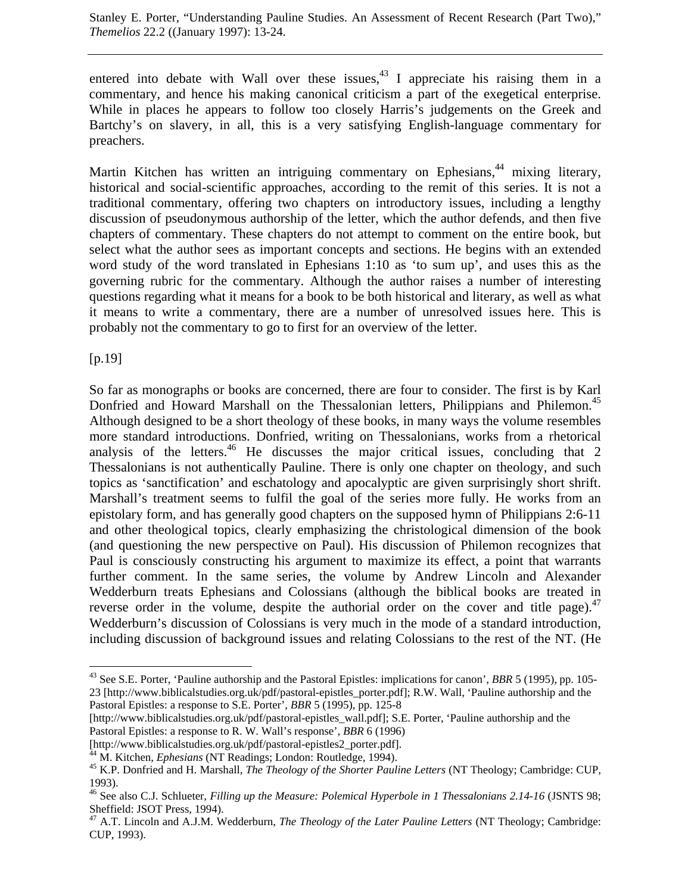entered into debate with Wall over these issues,  $43$  I appreciate his raising them in a commentary, and hence his making canonical criticism a part of the exegetical enterprise. While in places he appears to follow too closely Harris's judgements on the Greek and Bartchy's on slavery, in all, this is a very satisfying English-language commentary for preachers.

Martin Kitchen has written an intriguing commentary on Ephesians,<sup>44</sup> mixing literary, historical and social-scientific approaches, according to the remit of this series. It is not a traditional commentary, offering two chapters on introductory issues, including a lengthy discussion of pseudonymous authorship of the letter, which the author defends, and then five chapters of commentary. These chapters do not attempt to comment on the entire book, but select what the author sees as important concepts and sections. He begins with an extended word study of the word translated in Ephesians 1:10 as 'to sum up', and uses this as the governing rubric for the commentary. Although the author raises a number of interesting questions regarding what it means for a book to be both historical and literary, as well as what it means to write a commentary, there are a number of unresolved issues here. This is probably not the commentary to go to first for an overview of the letter.

[p.19]

 $\overline{a}$ 

So far as monographs or books are concerned, there are four to consider. The first is by Karl Donfried and Howard Marshall on the Thessalonian letters, Philippians and Philemon.<sup>45</sup> Although designed to be a short theology of these books, in many ways the volume resembles more standard introductions. Donfried, writing on Thessalonians, works from a rhetorical analysis of the letters.<sup>46</sup> He discusses the major critical issues, concluding that 2 Thessalonians is not authentically Pauline. There is only one chapter on theology, and such topics as 'sanctification' and eschatology and apocalyptic are given surprisingly short shrift. Marshall's treatment seems to fulfil the goal of the series more fully. He works from an epistolary form, and has generally good chapters on the supposed hymn of Philippians 2:6-11 and other theological topics, clearly emphasizing the christological dimension of the book (and questioning the new perspective on Paul). His discussion of Philemon recognizes that Paul is consciously constructing his argument to maximize its effect, a point that warrants further comment. In the same series, the volume by Andrew Lincoln and Alexander Wedderburn treats Ephesians and Colossians (although the biblical books are treated in reverse order in the volume, despite the authorial order on the cover and title page).<sup>47</sup> Wedderburn's discussion of Colossians is very much in the mode of a standard introduction, including discussion of background issues and relating Colossians to the rest of the NT. (He

<sup>43</sup> See S.E. Porter, 'Pauline authorship and the Pastoral Epistles: implications for canon', *BBR* 5 (1995), pp. 105- 23 [\[http://www.biblicalstudies.org.uk/pdf/pastoral-epistles\\_porter.pd](http://www.biblicalstudies.org.uk/pdf/pastoral-epistles_porter.pdf)f]; R.W. Wall, 'Pauline authorship and the Pastoral Epistles: a response to S.E. Porter', *BBR* 5 (1995), pp. 125-8

<sup>[</sup>[http://www.biblicalstudies.org.uk/pdf/pastoral-epistles\\_wall.pdf\]; S.](http://www.biblicalstudies.org.uk/pdf/pastoral-epistles_wall.pdf)E. Porter, 'Pauline authorship and the Pastoral Epistles: a response to R. W. Wall's response', *BBR* 6 (1996)

<sup>[</sup>[http://www.biblicalstudies.org.uk/pdf/pastoral-epistles2\\_porter.pd](http://www.biblicalstudies.org.uk/pdf/pastoral-epistles2_porter.pdf)f].<br><sup>44</sup> M. Kitchen, *Ephesians* (NT Readings; London: Routledge, 1994).

<sup>&</sup>lt;sup>45</sup> K.P. Donfried and H. Marshall, *The Theology of the Shorter Pauline Letters* (NT Theology; Cambridge: CUP, 1993).

<sup>46</sup> See also C.J. Schlueter, *Filling up the Measure: Polemical Hyperbole in 1 Thessalonians 2.14-16* (JSNTS 98; Sheffield: JSOT Press, 1994).

<sup>47</sup> A.T. Lincoln and A.J.M. Wedderburn, *The Theology of the Later Pauline Letters* (NT Theology; Cambridge: CUP, 1993).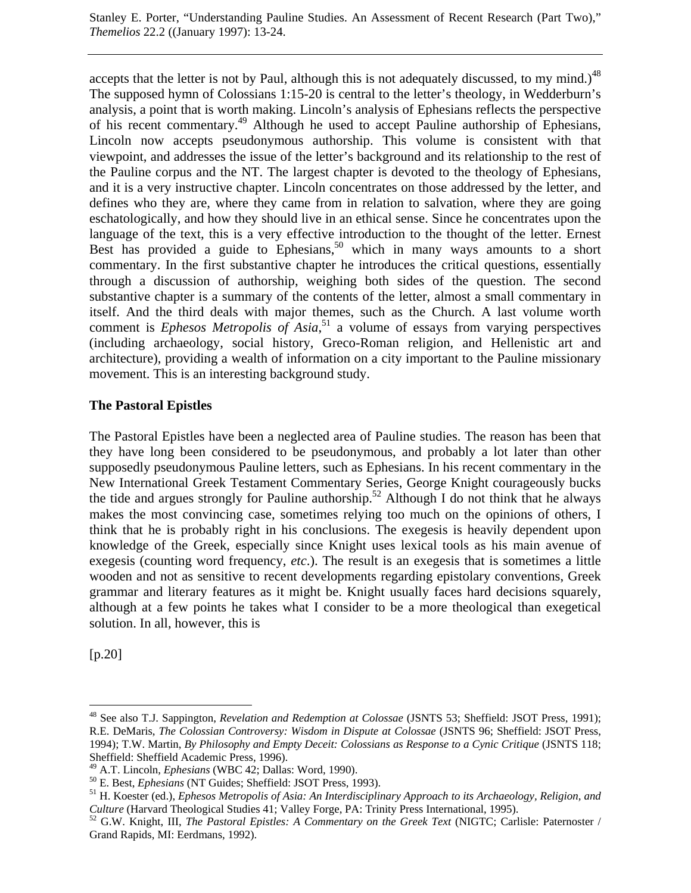accepts that the letter is not by Paul, although this is not adequately discussed, to my mind.)<sup>48</sup> The supposed hymn of Colossians 1:15-20 is central to the letter's theology, in Wedderburn's analysis, a point that is worth making. Lincoln's analysis of Ephesians reflects the perspective of his recent commentary.49 Although he used to accept Pauline authorship of Ephesians, Lincoln now accepts pseudonymous authorship. This volume is consistent with that viewpoint, and addresses the issue of the letter's background and its relationship to the rest of the Pauline corpus and the NT. The largest chapter is devoted to the theology of Ephesians, and it is a very instructive chapter. Lincoln concentrates on those addressed by the letter, and defines who they are, where they came from in relation to salvation, where they are going eschatologically, and how they should live in an ethical sense. Since he concentrates upon the language of the text, this is a very effective introduction to the thought of the letter. Ernest Best has provided a guide to Ephesians,<sup>50</sup> which in many ways amounts to a short commentary. In the first substantive chapter he introduces the critical questions, essentially through a discussion of authorship, weighing both sides of the question. The second substantive chapter is a summary of the contents of the letter, almost a small commentary in itself. And the third deals with major themes, such as the Church. A last volume worth comment is *Ephesos Metropolis of Asia*, 51 a volume of essays from varying perspectives (including archaeology, social history, Greco-Roman religion, and Hellenistic art and architecture), providing a wealth of information on a city important to the Pauline missionary movement. This is an interesting background study.

## **The Pastoral Epistles**

The Pastoral Epistles have been a neglected area of Pauline studies. The reason has been that they have long been considered to be pseudonymous, and probably a lot later than other supposedly pseudonymous Pauline letters, such as Ephesians. In his recent commentary in the New International Greek Testament Commentary Series, George Knight courageously bucks the tide and argues strongly for Pauline authorship.<sup>52</sup> Although I do not think that he always makes the most convincing case, sometimes relying too much on the opinions of others, I think that he is probably right in his conclusions. The exegesis is heavily dependent upon knowledge of the Greek, especially since Knight uses lexical tools as his main avenue of exegesis (counting word frequency, *etc*.). The result is an exegesis that is sometimes a little wooden and not as sensitive to recent developments regarding epistolary conventions, Greek grammar and literary features as it might be. Knight usually faces hard decisions squarely, although at a few points he takes what I consider to be a more theological than exegetical solution. In all, however, this is

[p.20]

 $\overline{a}$ 

<sup>48</sup> See also T.J. Sappington, *Revelation and Redemption at Colossae* (JSNTS 53; Sheffield: JSOT Press, 1991); R.E. DeMaris, *The Colossian Controversy: Wisdom in Dispute at Colossae* (JSNTS 96; Sheffield: JSOT Press, 1994); T.W. Martin, *By Philosophy and Empty Deceit: Colossians as Response to a Cynic Critique* (JSNTS 118; Sheffield: Sheffield Academic Press, 1996).<br><sup>49</sup> A.T. Lincoln, *Ephesians* (WBC 42; Dallas: Word, 1990).

<sup>&</sup>lt;sup>50</sup> E. Best, *Ephesians* (NT Guides; Sheffield: JSOT Press, 1993).<br><sup>51</sup> H. Koester (ed.), *Ephesos Metropolis of Asia: An Interdisciplinary Approach to its Archaeology, Religion, and Culture (Harvard Theological Studies* 

<sup>&</sup>lt;sup>52</sup> G.W. Knight, III, *The Pastoral Epistles: A Commentary on the Greek Text* (NIGTC; Carlisle: Paternoster / Grand Rapids, MI: Eerdmans, 1992).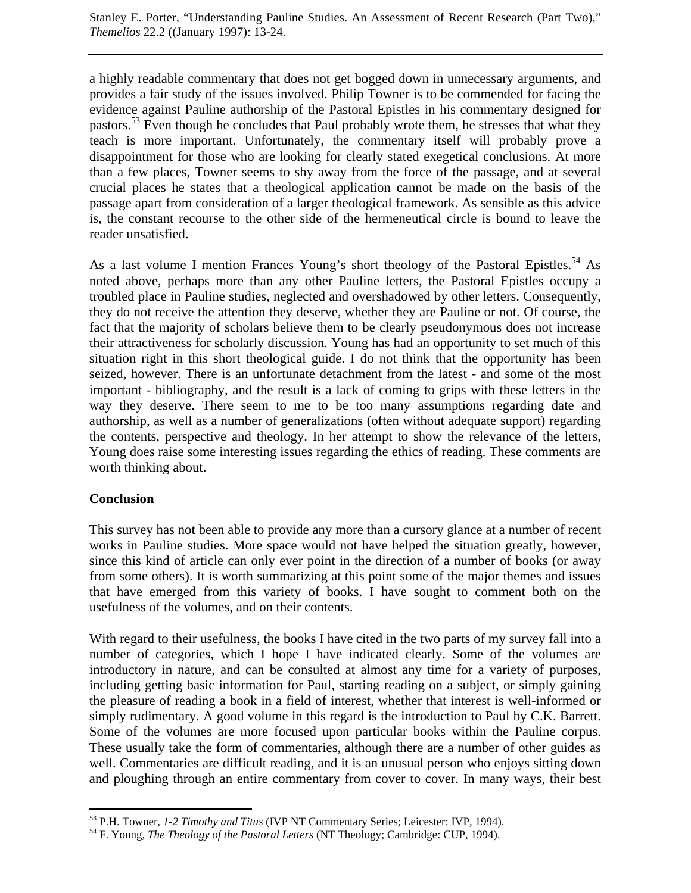a highly readable commentary that does not get bogged down in unnecessary arguments, and provides a fair study of the issues involved. Philip Towner is to be commended for facing the evidence against Pauline authorship of the Pastoral Epistles in his commentary designed for pastors.<sup>53</sup> Even though he concludes that Paul probably wrote them, he stresses that what they teach is more important. Unfortunately, the commentary itself will probably prove a disappointment for those who are looking for clearly stated exegetical conclusions. At more than a few places, Towner seems to shy away from the force of the passage, and at several crucial places he states that a theological application cannot be made on the basis of the passage apart from consideration of a larger theological framework. As sensible as this advice is, the constant recourse to the other side of the hermeneutical circle is bound to leave the reader unsatisfied.

As a last volume I mention Frances Young's short theology of the Pastoral Epistles.<sup>54</sup> As noted above, perhaps more than any other Pauline letters, the Pastoral Epistles occupy a troubled place in Pauline studies, neglected and overshadowed by other letters. Consequently, they do not receive the attention they deserve, whether they are Pauline or not. Of course, the fact that the majority of scholars believe them to be clearly pseudonymous does not increase their attractiveness for scholarly discussion. Young has had an opportunity to set much of this situation right in this short theological guide. I do not think that the opportunity has been seized, however. There is an unfortunate detachment from the latest - and some of the most important - bibliography, and the result is a lack of coming to grips with these letters in the way they deserve. There seem to me to be too many assumptions regarding date and authorship, as well as a number of generalizations (often without adequate support) regarding the contents, perspective and theology. In her attempt to show the relevance of the letters, Young does raise some interesting issues regarding the ethics of reading. These comments are worth thinking about.

## **Conclusion**

This survey has not been able to provide any more than a cursory glance at a number of recent works in Pauline studies. More space would not have helped the situation greatly, however, since this kind of article can only ever point in the direction of a number of books (or away from some others). It is worth summarizing at this point some of the major themes and issues that have emerged from this variety of books. I have sought to comment both on the usefulness of the volumes, and on their contents.

With regard to their usefulness, the books I have cited in the two parts of my survey fall into a number of categories, which I hope I have indicated clearly. Some of the volumes are introductory in nature, and can be consulted at almost any time for a variety of purposes, including getting basic information for Paul, starting reading on a subject, or simply gaining the pleasure of reading a book in a field of interest, whether that interest is well-informed or simply rudimentary. A good volume in this regard is the introduction to Paul by C.K. Barrett. Some of the volumes are more focused upon particular books within the Pauline corpus. These usually take the form of commentaries, although there are a number of other guides as well. Commentaries are difficult reading, and it is an unusual person who enjoys sitting down and ploughing through an entire commentary from cover to cover. In many ways, their best

<sup>&</sup>lt;sup>53</sup> P.H. Towner, *1-2 Timothy and Titus* (IVP NT Commentary Series; Leicester: IVP, 1994).

<sup>&</sup>lt;sup>54</sup> F. Young, *The Theology of the Pastoral Letters* (NT Theology; Cambridge: CUP, 1994).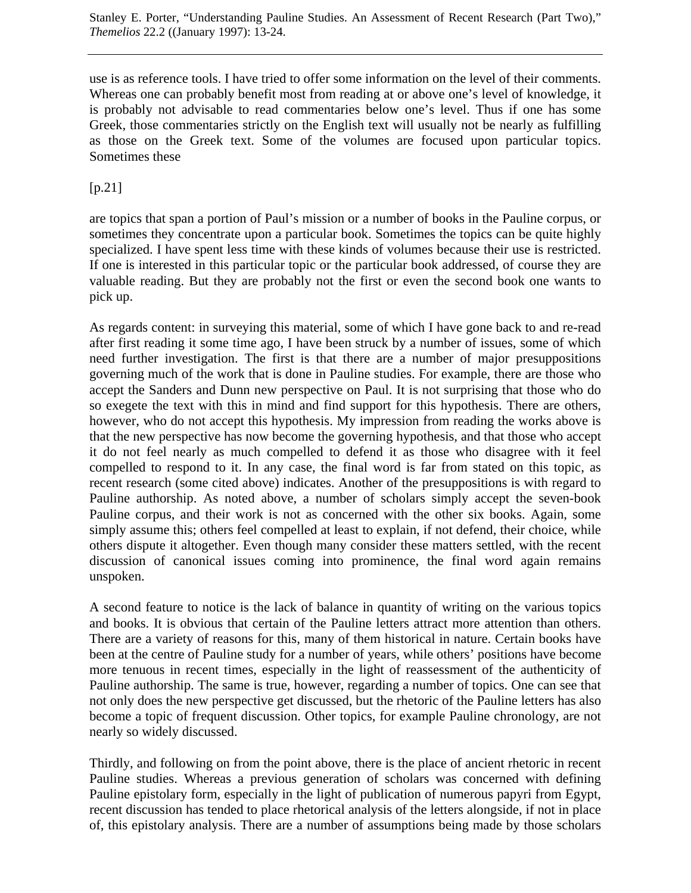use is as reference tools. I have tried to offer some information on the level of their comments. Whereas one can probably benefit most from reading at or above one's level of knowledge, it is probably not advisable to read commentaries below one's level. Thus if one has some Greek, those commentaries strictly on the English text will usually not be nearly as fulfilling as those on the Greek text. Some of the volumes are focused upon particular topics. Sometimes these

# [p.21]

are topics that span a portion of Paul's mission or a number of books in the Pauline corpus, or sometimes they concentrate upon a particular book. Sometimes the topics can be quite highly specialized. I have spent less time with these kinds of volumes because their use is restricted. If one is interested in this particular topic or the particular book addressed, of course they are valuable reading. But they are probably not the first or even the second book one wants to pick up.

As regards content: in surveying this material, some of which I have gone back to and re-read after first reading it some time ago, I have been struck by a number of issues, some of which need further investigation. The first is that there are a number of major presuppositions governing much of the work that is done in Pauline studies. For example, there are those who accept the Sanders and Dunn new perspective on Paul. It is not surprising that those who do so exegete the text with this in mind and find support for this hypothesis. There are others, however, who do not accept this hypothesis. My impression from reading the works above is that the new perspective has now become the governing hypothesis, and that those who accept it do not feel nearly as much compelled to defend it as those who disagree with it feel compelled to respond to it. In any case, the final word is far from stated on this topic, as recent research (some cited above) indicates. Another of the presuppositions is with regard to Pauline authorship. As noted above, a number of scholars simply accept the seven-book Pauline corpus, and their work is not as concerned with the other six books. Again, some simply assume this; others feel compelled at least to explain, if not defend, their choice, while others dispute it altogether. Even though many consider these matters settled, with the recent discussion of canonical issues coming into prominence, the final word again remains unspoken.

A second feature to notice is the lack of balance in quantity of writing on the various topics and books. It is obvious that certain of the Pauline letters attract more attention than others. There are a variety of reasons for this, many of them historical in nature. Certain books have been at the centre of Pauline study for a number of years, while others' positions have become more tenuous in recent times, especially in the light of reassessment of the authenticity of Pauline authorship. The same is true, however, regarding a number of topics. One can see that not only does the new perspective get discussed, but the rhetoric of the Pauline letters has also become a topic of frequent discussion. Other topics, for example Pauline chronology, are not nearly so widely discussed.

Thirdly, and following on from the point above, there is the place of ancient rhetoric in recent Pauline studies. Whereas a previous generation of scholars was concerned with defining Pauline epistolary form, especially in the light of publication of numerous papyri from Egypt, recent discussion has tended to place rhetorical analysis of the letters alongside, if not in place of, this epistolary analysis. There are a number of assumptions being made by those scholars